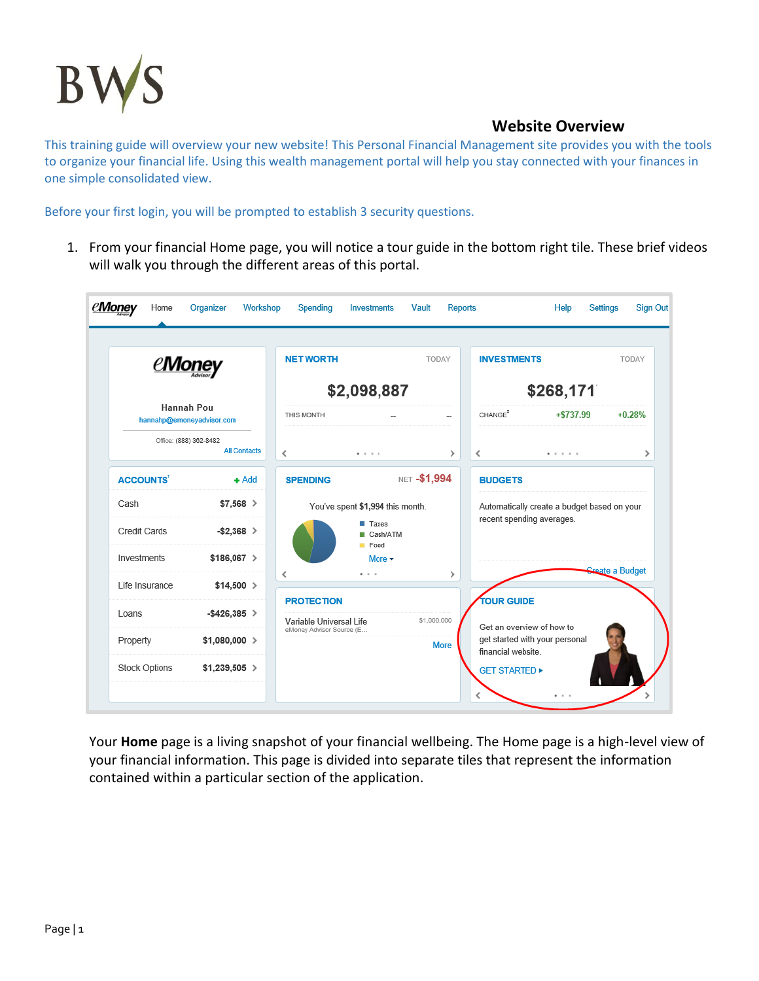

This training guide will overview your new website! This Personal Financial Management site provides you with the tools to organize your financial life. Using this wealth management portal will help you stay connected with your finances in one simple consolidated view.

Before your first login, you will be prompted to establish 3 security questions.

1. From your financial Home page, you will notice a tour guide in the bottom right tile. These brief videos will walk you through the different areas of this portal.

|                                         | <i><b>eMoney</b></i>                          | <b>NET WORTH</b>                                    |                                  | TODAY         | <b>INVESTMENTS</b>  |                                                             | TODAY                  |  |
|-----------------------------------------|-----------------------------------------------|-----------------------------------------------------|----------------------------------|---------------|---------------------|-------------------------------------------------------------|------------------------|--|
|                                         |                                               | \$2,098,887                                         |                                  |               | \$268,171           |                                                             |                        |  |
| Hannah Pou<br>hannahp@emoneyadvisor.com |                                               | THIS MONTH                                          |                                  |               | CHANGE <sup>2</sup> | $+ $737.99$                                                 | $+0.28%$               |  |
|                                         | Office: (888) 362-8482<br><b>All Contacts</b> | ≺                                                   | .                                | ≯             | ≺                   | .                                                           | ⋋                      |  |
| <b>ACCOUNTS</b>                         | $+$ Add                                       | <b>SPENDING</b>                                     |                                  | NET -\$1,994  | <b>BUDGETS</b>      |                                                             |                        |  |
| Cash                                    | $$7,568$ >                                    |                                                     | You've spent \$1,994 this month. |               |                     | Automatically create a budget based on your                 |                        |  |
| Credit Cards                            | $-$ \$2,368 >                                 |                                                     | $\blacksquare$ Taxes<br>Cash/ATM |               |                     | recent spending averages.                                   |                        |  |
| Investments                             | $$186,067$ >                                  |                                                     | Food<br>More $\star$             |               |                     |                                                             |                        |  |
| Life Insurance                          | $$14,500$ >                                   | ≺                                                   | $\cdots$                         | $\rightarrow$ |                     |                                                             | <b>Create a Budget</b> |  |
| Loans                                   | $-$ \$426,385 >                               | <b>PROTECTION</b>                                   |                                  |               | <b>TOUR GUIDE</b>   |                                                             |                        |  |
| Property                                | $$1,080,000$ >                                | Variable Universal Life<br>eMoney Advisor Source (E |                                  | \$1,000,000   |                     | Get an overview of how to<br>get started with your personal |                        |  |
|                                         |                                               |                                                     |                                  | <b>More</b>   | financial website.  |                                                             |                        |  |

Your **Home** page is a living snapshot of your financial wellbeing. The Home page is a high-level view of your financial information. This page is divided into separate tiles that represent the information contained within a particular section of the application.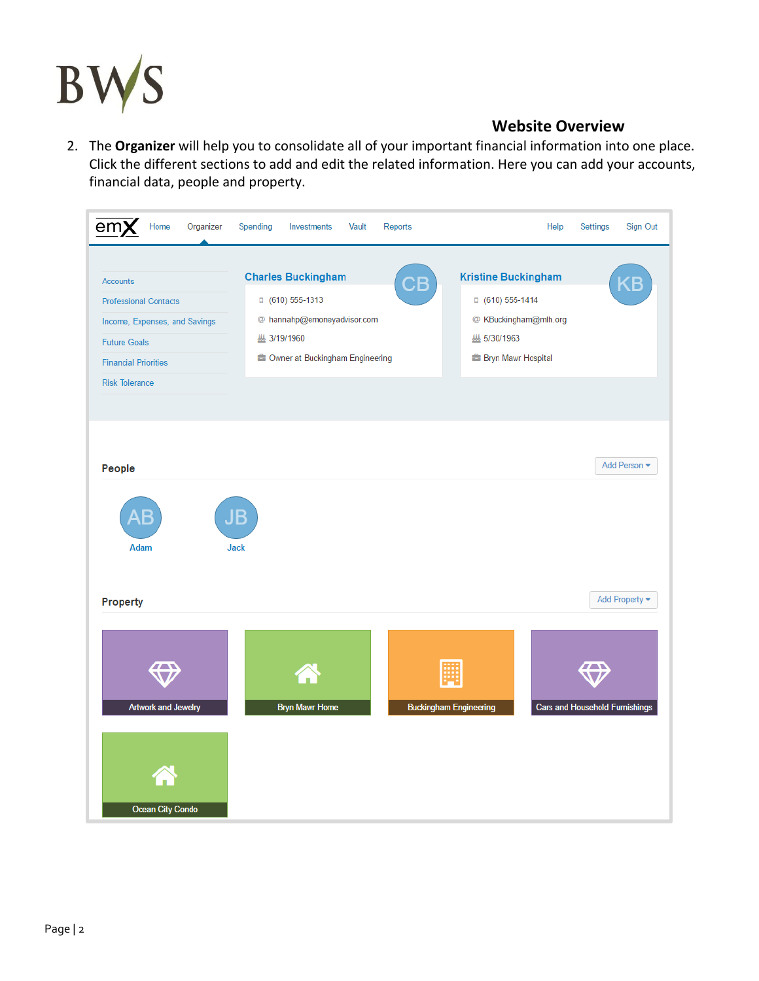

2. The **Organizer** will help you to consolidate all of your important financial information into one place. Click the different sections to add and edit the related information. Here you can add your accounts, financial data, people and property.

| emX<br>Home<br>Organizer                       | Spending<br>Investments<br>Vault<br>Reports | Sign Out<br>Help<br>Settings                                           |
|------------------------------------------------|---------------------------------------------|------------------------------------------------------------------------|
| <b>Accounts</b>                                | <b>Charles Buckingham</b><br>СB             | <b>Kristine Buckingham</b><br>G                                        |
| <b>Professional Contacts</b>                   | □ (610) 555-1313                            | □ (610) 555-1414                                                       |
| Income, Expenses, and Savings                  | @ hannahp@emoneyadvisor.com                 | @ KBuckingham@mlh.org                                                  |
| <b>Future Goals</b>                            | <b>四 3/19/1960</b>                          | 墨 5/30/1963                                                            |
| <b>Financial Priorities</b>                    | Owner at Buckingham Engineering             | <b>E</b> Bryn Mawr Hospital                                            |
| <b>Risk Tolerance</b>                          |                                             |                                                                        |
|                                                |                                             |                                                                        |
|                                                |                                             |                                                                        |
|                                                |                                             |                                                                        |
| People                                         |                                             | Add Person                                                             |
| Е<br><b>Adam</b>                               | JB<br><b>Jack</b>                           |                                                                        |
| Property                                       |                                             | Add Property                                                           |
| <b>Artwork and Jewelry</b><br>Ocean City Condo | <b>Bryn Mawr Home</b>                       | <b>Buckingham Engineering</b><br><b>Cars and Household Furnishings</b> |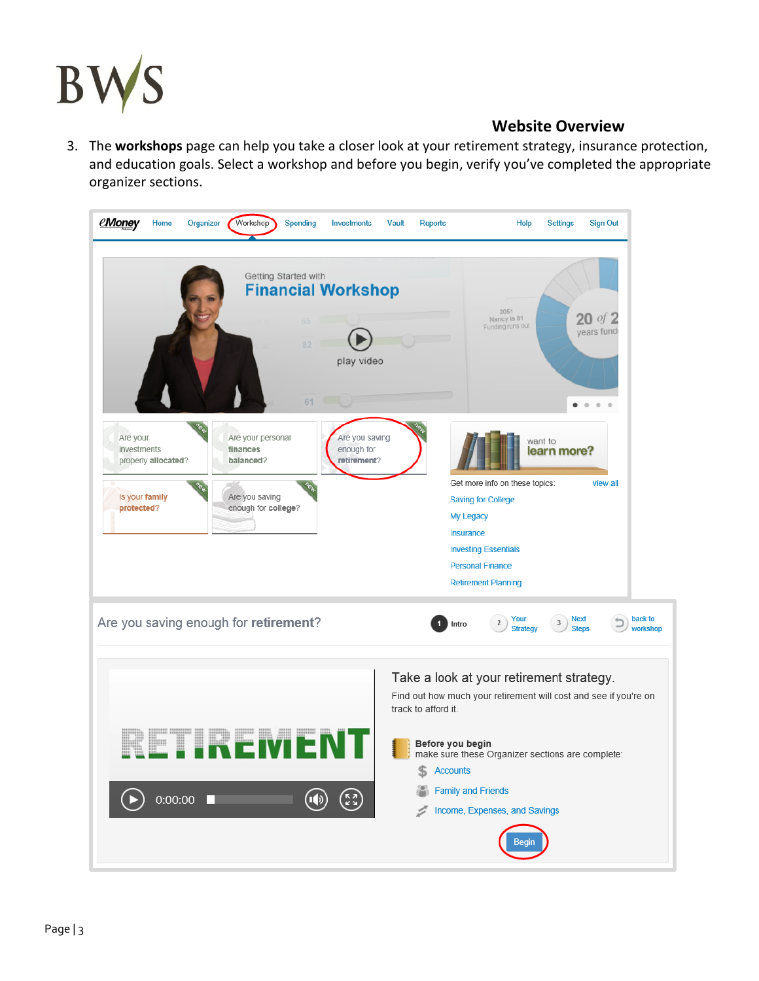

3. The **workshops** page can help you take a closer look at your retirement strategy, insurance protection, and education goals. Select a workshop and before you begin, verify you've completed the appropriate organizer sections.

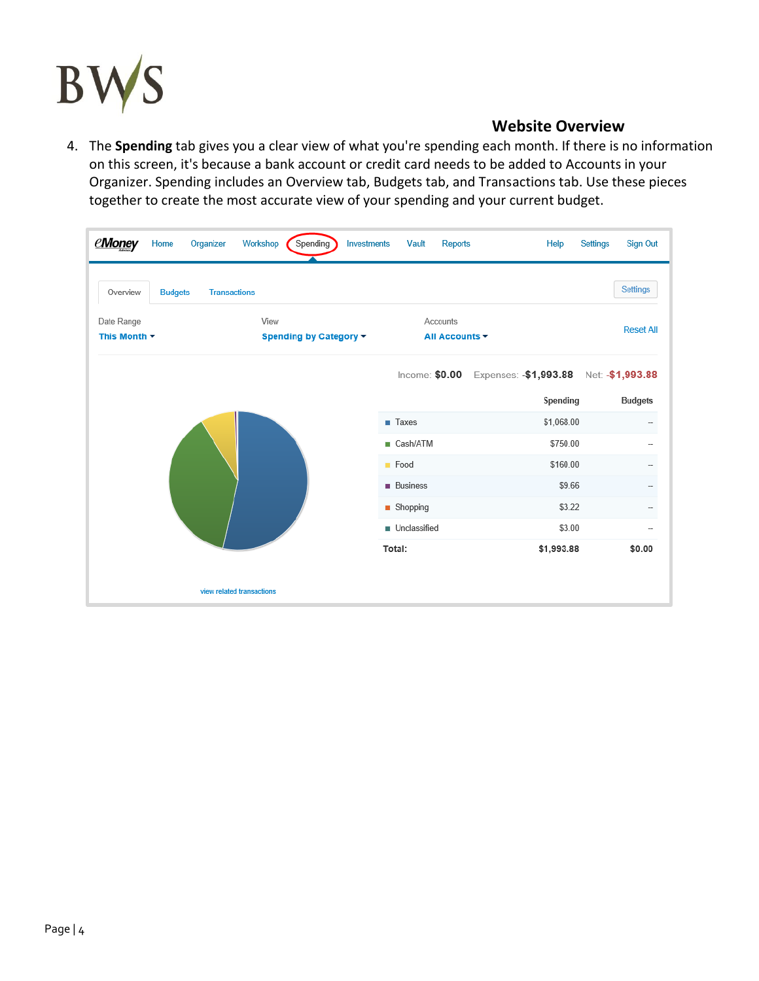

4. The **Spending** tab gives you a clear view of what you're spending each month. If there is no information on this screen, it's because a bank account or credit card needs to be added to Accounts in your Organizer. Spending includes an Overview tab, Budgets tab, and Transactions tab. Use these pieces together to create the most accurate view of your spending and your current budget.

| <b>eMoney</b><br>Home<br>Organizer                | Spending<br>Workshop<br>Investments | Vault<br><b>Reports</b>     | Help                  | <b>Sign Out</b><br>Settings |
|---------------------------------------------------|-------------------------------------|-----------------------------|-----------------------|-----------------------------|
| Overview<br><b>Transactions</b><br><b>Budgets</b> |                                     |                             |                       | <b>Settings</b>             |
| Date Range<br>This Month $\sim$                   | View<br>Spending by Category -      | Accounts<br>All Accounts -  |                       | <b>Reset All</b>            |
|                                                   |                                     | Income: $$0.00$             | Expenses: -\$1,993.88 | Net: - \$1,993.88           |
|                                                   |                                     |                             | Spending              | <b>Budgets</b>              |
|                                                   |                                     | $\blacksquare$ Taxes        | \$1,068.00            |                             |
|                                                   |                                     | ■ Cash/ATM                  | \$750.00              | --                          |
|                                                   |                                     | $\blacksquare$ Food         | \$160.00              | $\overline{\phantom{a}}$    |
|                                                   |                                     | <b>Business</b>             | \$9.66                | $\overline{a}$              |
|                                                   |                                     | $\blacksquare$ Shopping     | \$3.22                |                             |
|                                                   |                                     | $\blacksquare$ Unclassified | \$3.00                | $\overline{\phantom{0}}$    |
|                                                   |                                     | Total:                      | \$1,993.88            | \$0.00                      |
|                                                   | view related transactions           |                             |                       |                             |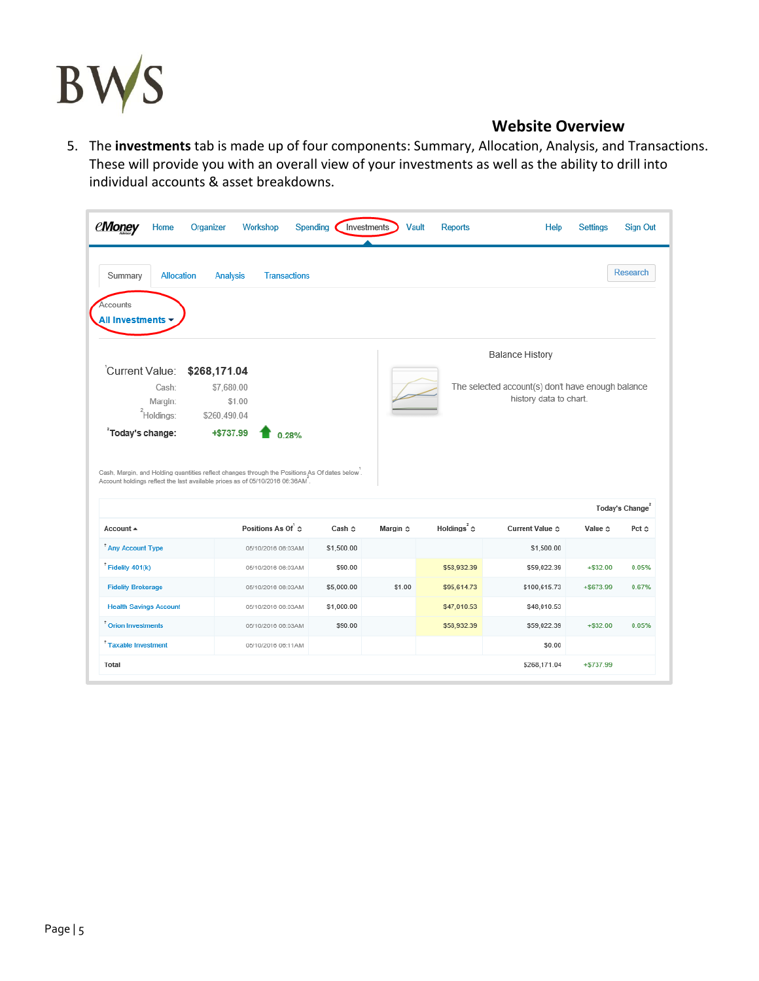

5. The **investments** tab is made up of four components: Summary, Allocation, Analysis, and Transactions. These will provide you with an overall view of your investments as well as the ability to drill into individual accounts & asset breakdowns.

| Summary<br>Allocation                                                                                                                                                                                                   | <b>Analysis</b>                                                                                                                                                               | <b>Transactions</b>     |                   |                          |                      |                                                   |                         | <b>Research</b>                               |
|-------------------------------------------------------------------------------------------------------------------------------------------------------------------------------------------------------------------------|-------------------------------------------------------------------------------------------------------------------------------------------------------------------------------|-------------------------|-------------------|--------------------------|----------------------|---------------------------------------------------|-------------------------|-----------------------------------------------|
| Accounts<br>All Investments -                                                                                                                                                                                           |                                                                                                                                                                               |                         |                   |                          |                      |                                                   |                         |                                               |
|                                                                                                                                                                                                                         |                                                                                                                                                                               |                         |                   |                          |                      | <b>Balance History</b>                            |                         |                                               |
| Current Value:                                                                                                                                                                                                          | \$268,171.04                                                                                                                                                                  |                         |                   |                          |                      |                                                   |                         |                                               |
| Cash:                                                                                                                                                                                                                   | \$7,680.00                                                                                                                                                                    |                         |                   |                          |                      | The selected account(s) don't have enough balance |                         |                                               |
| Margin:                                                                                                                                                                                                                 | \$1.00                                                                                                                                                                        |                         |                   |                          |                      | history data to chart.                            |                         |                                               |
| <sup>2</sup> Holdings:                                                                                                                                                                                                  | \$260,490.04                                                                                                                                                                  |                         |                   |                          |                      |                                                   |                         |                                               |
|                                                                                                                                                                                                                         | +\$737.99                                                                                                                                                                     | 0.28%                   |                   |                          |                      |                                                   |                         |                                               |
|                                                                                                                                                                                                                         | Cash, Margin, and Holding quantities reflect changes through the Positions As Of dates below.<br>Account holdings reflect the last available prices as of 05/10/2016 06:36AM. |                         |                   |                          |                      |                                                   |                         |                                               |
|                                                                                                                                                                                                                         |                                                                                                                                                                               | Positions As Of $\circ$ | Cash <sup>o</sup> | Margin $\Leftrightarrow$ | Holdings $3$ $\circ$ | Current Value &                                   | Value $\Leftrightarrow$ | Today's Change <sup>2</sup><br>Pct $\diamond$ |
|                                                                                                                                                                                                                         |                                                                                                                                                                               | 05/10/2016 06:03AM      | \$1,500.00        |                          |                      | \$1,500.00                                        |                         |                                               |
|                                                                                                                                                                                                                         |                                                                                                                                                                               | 05/10/2016 06:03AM      | \$90.00           |                          | \$58,932.39          | \$59,022.39                                       | $+ $32.00$              |                                               |
|                                                                                                                                                                                                                         |                                                                                                                                                                               | 05/10/2016 06:03AM      | \$5,000.00        | \$1.00                   | \$95,614.73          | \$100,615.73                                      | $+ $673.99$             |                                               |
|                                                                                                                                                                                                                         |                                                                                                                                                                               | 05/10/2016 06:03AM      | \$1,000.00        |                          | \$47,010.53          | \$48,010.53                                       |                         |                                               |
|                                                                                                                                                                                                                         |                                                                                                                                                                               | 05/10/2016 06:03AM      | \$90.00           |                          | \$58,932.39          | \$59,022.39                                       | $+$ \$32.00             |                                               |
| <sup>2</sup> Today's change:<br>Account +<br><sup>†</sup> Any Account Type<br>$^{\dagger}$ Fidelity 401(k)<br><b>Fidelity Brokerage</b><br><b>Health Savings Account</b><br>$†$ Orion Investments<br>Taxable Investment |                                                                                                                                                                               | 05/10/2016 06:11AM      |                   |                          |                      | \$0.00                                            |                         | 0.05%<br>0.67%<br>0.05%                       |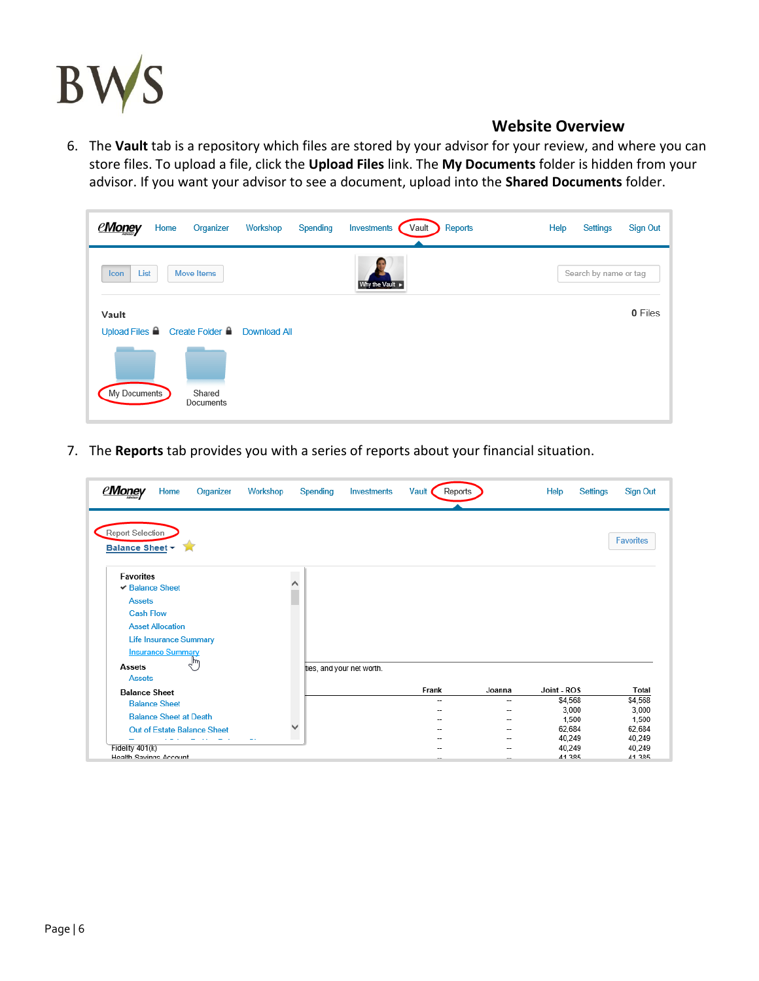

6. The **Vault** tab is a repository which files are stored by your advisor for your review, and where you can store files. To upload a file, click the **Upload Files** link. The **My Documents** folder is hidden from your advisor. If you want your advisor to see a document, upload into the **Shared Documents** folder.

| <u>eMoney</u><br>Home<br>Organizer                   | Investments<br>Workshop<br>Spending<br>Vault | Reports<br><b>Sign Out</b><br>Help<br>Settings |
|------------------------------------------------------|----------------------------------------------|------------------------------------------------|
| List<br>Move Items<br>Icon                           | Why the Vault                                | Search by name or tag                          |
| Vault<br>Upload Files ■ Create Folder ■ Download All |                                              | 0 Files                                        |
| My Documents<br>Shared<br>Documents                  |                                              |                                                |

7. The **Reports** tab provides you with a series of reports about your financial situation.

| eMonev<br>Home<br>Organizer        | Workshop<br>Spending | <b>Investments</b>        | Vault<br>Reports         |        | Help<br>Settings | <b>Sign Out</b>  |
|------------------------------------|----------------------|---------------------------|--------------------------|--------|------------------|------------------|
| <b>Report Selection</b>            |                      |                           |                          |        |                  | <b>Favorites</b> |
| Balance Sheet -                    |                      |                           |                          |        |                  |                  |
| <b>Favorites</b>                   |                      |                           |                          |        |                  |                  |
| $\vee$ Balance Sheet               |                      |                           |                          |        |                  |                  |
| <b>Assets</b>                      |                      |                           |                          |        |                  |                  |
| <b>Cash Flow</b>                   |                      |                           |                          |        |                  |                  |
| <b>Asset Allocation</b>            |                      |                           |                          |        |                  |                  |
| Life Insurance Summary             |                      |                           |                          |        |                  |                  |
| <b>Insurance Summary</b>           |                      |                           |                          |        |                  |                  |
| ۳щ                                 |                      |                           |                          |        |                  |                  |
| <b>Assets</b><br><b>Assets</b>     |                      | ties, and your net worth. |                          |        |                  |                  |
| <b>Balance Sheet</b>               |                      |                           | Frank                    | Joanna | Joint - ROS      | Total            |
| <b>Balance Sheet</b>               |                      |                           | $\overline{\phantom{a}}$ | -      | \$4,568          | \$4,568          |
|                                    |                      |                           | --                       |        | 3,000            | 3,000            |
| <b>Balance Sheet at Death</b>      |                      |                           |                          |        | 1,500            | 1,500            |
| <b>Out of Estate Balance Sheet</b> |                      |                           |                          |        | 62,684           | 62,684           |
| Fidelity 401(k)                    | ٠.                   |                           |                          | --     | 40,249<br>40,249 | 40,249<br>40,249 |
| Health Savings Account             |                      |                           |                          |        | 41 385           | 41 385           |